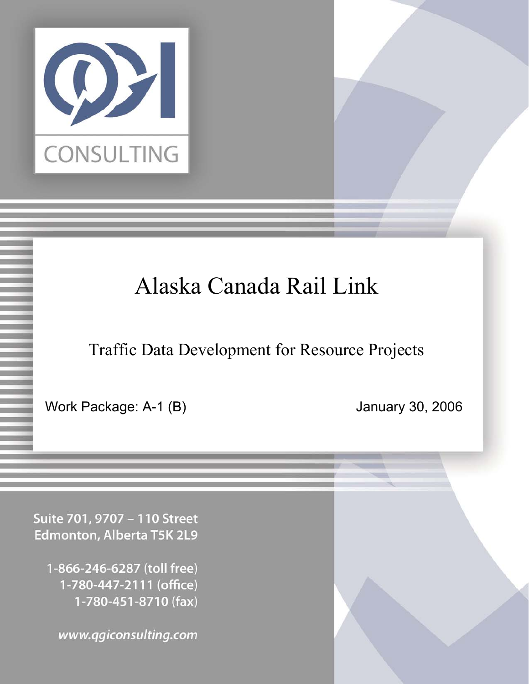

# Alaska Canada Rail Link

Traffic Data Development for Resource Projects

Work Package: A-1 (B) January 30, 2006

Suite 701, 9707 - 110 Street Edmonton, Alberta T5K 2L9

1-866-246-6287 (toll free) 1-780-447-2111 (office) 1-780-451-8710 (fax)

www.qgiconsulting.com Confidential Page 1 1/31/06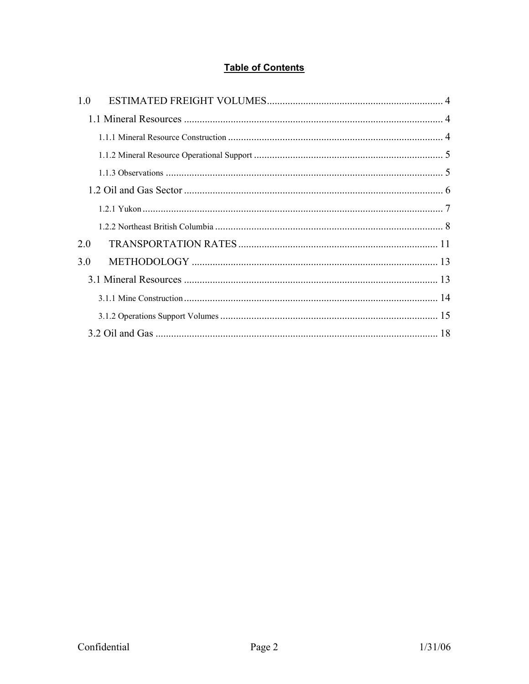# **Table of Contents**

| 1.0 |  |
|-----|--|
|     |  |
|     |  |
|     |  |
|     |  |
|     |  |
|     |  |
|     |  |
| 2.0 |  |
| 3.0 |  |
|     |  |
|     |  |
|     |  |
|     |  |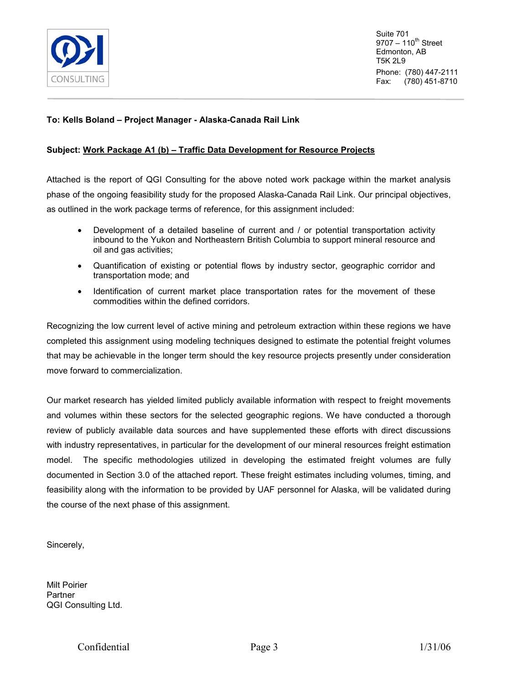

Suite 701  $9707 - 110^{th}$  Street Edmonton, AB T5K 2L9 Phone: (780) 447-2111 Fax: (780) 451-8710

### **To: Kells Boland – Project Manager - Alaska-Canada Rail Link**

### **Subject: Work Package A1 (b) – Traffic Data Development for Resource Projects**

Attached is the report of QGI Consulting for the above noted work package within the market analysis phase of the ongoing feasibility study for the proposed Alaska-Canada Rail Link. Our principal objectives, as outlined in the work package terms of reference, for this assignment included:

- - Development of a detailed baseline of current and / or potential transportation activity inbound to the Yukon and Northeastern British Columbia to support mineral resource and oil and gas activities;
- Quantification of existing or potential flows by industry sector, geographic corridor and transportation mode; and
- Identification of current market place transportation rates for the movement of these commodities within the defined corridors.

Recognizing the low current level of active mining and petroleum extraction within these regions we have completed this assignment using modeling techniques designed to estimate the potential freight volumes that may be achievable in the longer term should the key resource projects presently under consideration move forward to commercialization.

Our market research has yielded limited publicly available information with respect to freight movements and volumes within these sectors for the selected geographic regions. We have conducted a thorough review of publicly available data sources and have supplemented these efforts with direct discussions with industry representatives, in particular for the development of our mineral resources freight estimation model. The specific methodologies utilized in developing the estimated freight volumes are fully documented in Section 3.0 of the attached report. These freight estimates including volumes, timing, and feasibility along with the information to be provided by UAF personnel for Alaska, will be validated during the course of the next phase of this assignment.

Sincerely,

Milt Poirier **Partner** QGI Consulting Ltd.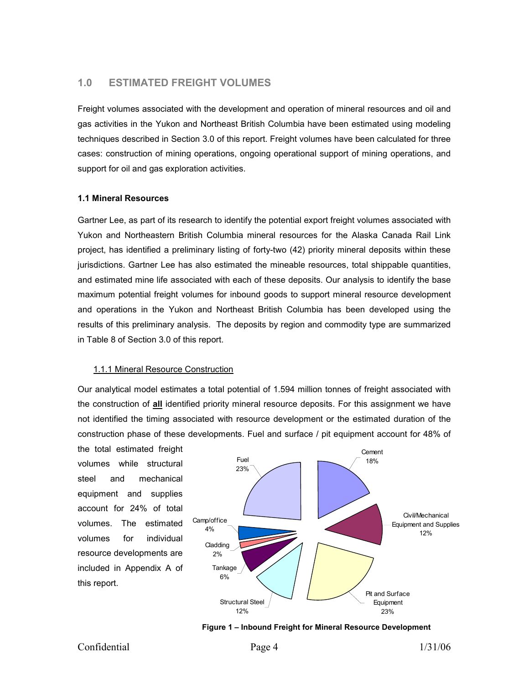## <span id="page-3-0"></span>**1.0 ESTIMATED FREIGHT VOLUMES**

Freight volumes associated with the development and operation of mineral resources and oil and gas activities in the Yukon and Northeast British Columbia have been estimated using modeling techniques described in Section 3.0 of this report. Freight volumes have been calculated for three cases: construction of mining operations, ongoing operational support of mining operations, and support for oil and gas exploration activities.

#### **1.1 Mineral Resources**

Gartner Lee, as part of its research to identify the potential export freight volumes associated with Yukon and Northeastern British Columbia mineral resources for the Alaska Canada Rail Link project, has identified a preliminary listing of forty-two (42) priority mineral deposits within these jurisdictions. Gartner Lee has also estimated the mineable resources, total shippable quantities, and estimated mine life associated with each of these deposits. Our analysis to identify the base maximum potential freight volumes for inbound goods to support mineral resource development and operations in the Yukon and Northeast British Columbia has been developed using the results of this preliminary analysis. The deposits by region and commodity type are summarized in Table 8 of Section 3.0 of this report.

## 1.1.1 Mineral Resource Construction

Our analytical model estimates a total potential of 1.594 million tonnes of freight associated with the construction of **all** identified priority mineral resource deposits. For this assignment we have not identified the timing associated with resource development or the estimated duration of the construction phase of these developments. Fuel and surface / pit equipment account for 48% of

the total estimated freight volumes while structural steel and mechanical equipment and supplies account for 24% of total volumes. The estimated volumes for individual resource developments are included in Appendix A of this report.



**Figure 1 – Inbound Freight for Mineral Resource Development**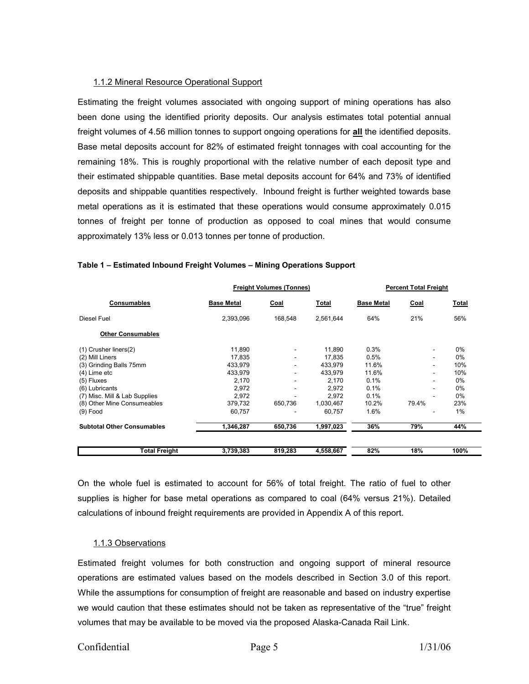#### <span id="page-4-0"></span>1.1.2 Mineral Resource Operational Support

Estimating the freight volumes associated with ongoing support of mining operations has also been done using the identified priority deposits. Our analysis estimates total potential annual freight volumes of 4.56 million tonnes to support ongoing operations for **all** the identified deposits. Base metal deposits account for 82% of estimated freight tonnages with coal accounting for the remaining 18%. This is roughly proportional with the relative number of each deposit type and their estimated shippable quantities. Base metal deposits account for 64% and 73% of identified deposits and shippable quantities respectively. Inbound freight is further weighted towards base metal operations as it is estimated that these operations would consume approximately 0.015 tonnes of freight per tonne of production as opposed to coal mines that would consume approximately 13% less or 0.013 tonnes per tonne of production.

|                                   |                   | <b>Freight Volumes (Tonnes)</b> |              |                   | <b>Percent Total Freight</b> |              |  |
|-----------------------------------|-------------------|---------------------------------|--------------|-------------------|------------------------------|--------------|--|
| Consumables                       | <b>Base Metal</b> | Coal                            | <b>Total</b> | <b>Base Metal</b> | Coal                         | <u>Total</u> |  |
| Diesel Fuel                       | 2,393,096         | 168.548                         | 2.561.644    | 64%               | 21%                          | 56%          |  |
| <b>Other Consumables</b>          |                   |                                 |              |                   |                              |              |  |
| $(1)$ Crusher liners $(2)$        | 11,890            | $\overline{\phantom{a}}$        | 11,890       | 0.3%              | -                            | $0\%$        |  |
| (2) Mill Liners                   | 17.835            | $\overline{\phantom{a}}$        | 17.835       | 0.5%              | ٠                            | $0\%$        |  |
| (3) Grinding Balls 75mm           | 433,979           | ٠                               | 433.979      | 11.6%             | ۰                            | 10%          |  |
| (4) Lime etc                      | 433,979           | ۰                               | 433,979      | 11.6%             | ٠                            | 10%          |  |
| $(5)$ Fluxes                      | 2.170             | ۰                               | 2.170        | 0.1%              | ä.                           | $0\%$        |  |
| (6) Lubricants                    | 2.972             |                                 | 2,972        | 0.1%              | ٠                            | $0\%$        |  |
| (7) Misc. Mill & Lab Supplies     | 2,972             | ۰                               | 2,972        | 0.1%              | ٠                            | $0\%$        |  |
| (8) Other Mine Consumeables       | 379,732           | 650,736                         | 1,030,467    | 10.2%             | 79.4%                        | 23%          |  |
| $(9)$ Food                        | 60,757            |                                 | 60,757       | 1.6%              |                              | 1%           |  |
| <b>Subtotal Other Consumables</b> | 1,346,287         | 650,736                         | 1,997,023    | 36%               | 79%                          | 44%          |  |
| <b>Total Freight</b>              | 3,739,383         | 819,283                         | 4,558,667    | 82%               | 18%                          | 100%         |  |

#### **Table 1 – Estimated Inbound Freight Volumes – Mining Operations Support**

On the whole fuel is estimated to account for 56% of total freight. The ratio of fuel to other supplies is higher for base metal operations as compared to coal (64% versus 21%). Detailed calculations of inbound freight requirements are provided in Appendix A of this report.

#### 1.1.3 Observations

Estimated freight volumes for both construction and ongoing support of mineral resource operations are estimated values based on the models described in Section 3.0 of this report. While the assumptions for consumption of freight are reasonable and based on industry expertise we would caution that these estimates should not be taken as representative of the "true" freight volumes that may be available to be moved via the proposed Alaska-Canada Rail Link.

# Confidential Page 5 1/31/06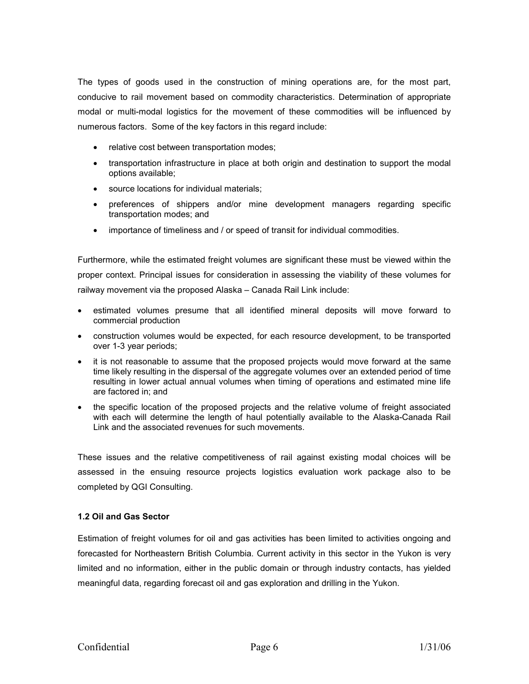<span id="page-5-0"></span>The types of goods used in the construction of mining operations are, for the most part, conducive to rail movement based on commodity characteristics. Determination of appropriate modal or multi-modal logistics for the movement of these commodities will be influenced by numerous factors. Some of the key factors in this regard include:

- relative cost between transportation modes;
- transportation infrastructure in place at both origin and destination to support the modal options available;
- source locations for individual materials;
- preferences of shippers and/or mine development managers regarding specific transportation modes; and
- importance of timeliness and / or speed of transit for individual commodities.

Furthermore, while the estimated freight volumes are significant these must be viewed within the proper context. Principal issues for consideration in assessing the viability of these volumes for railway movement via the proposed Alaska – Canada Rail Link include:

- estimated volumes presume that all identified mineral deposits will move forward to commercial production
- construction volumes would be expected, for each resource development, to be transported over 1-3 year periods;
- it is not reasonable to assume that the proposed projects would move forward at the same time likely resulting in the dispersal of the aggregate volumes over an extended period of time resulting in lower actual annual volumes when timing of operations and estimated mine life are factored in; and
- the specific location of the proposed projects and the relative volume of freight associated with each will determine the length of haul potentially available to the Alaska-Canada Rail Link and the associated revenues for such movements.

These issues and the relative competitiveness of rail against existing modal choices will be assessed in the ensuing resource projects logistics evaluation work package also to be completed by QGI Consulting.

#### **1.2 Oil and Gas Sector**

Estimation of freight volumes for oil and gas activities has been limited to activities ongoing and forecasted for Northeastern British Columbia. Current activity in this sector in the Yukon is very limited and no information, either in the public domain or through industry contacts, has yielded meaningful data, regarding forecast oil and gas exploration and drilling in the Yukon.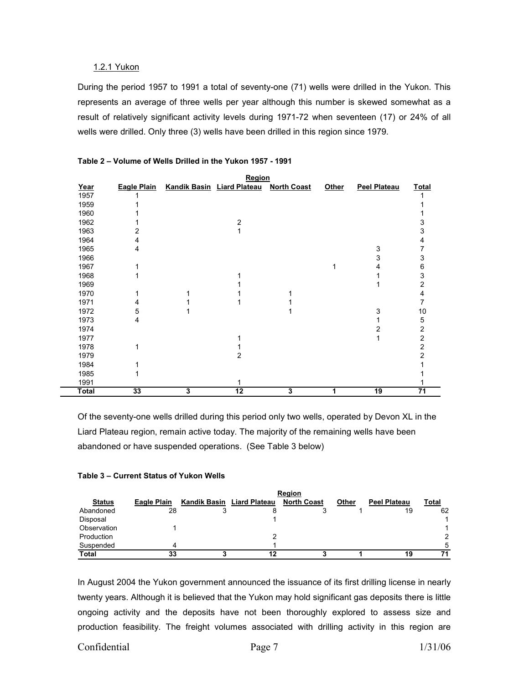#### <span id="page-6-0"></span>1.2.1 Yukon

During the period 1957 to 1991 a total of seventy-one (71) wells were drilled in the Yukon. This represents an average of three wells per year although this number is skewed somewhat as a result of relatively significant activity levels during 1971-72 when seventeen (17) or 24% of all wells were drilled. Only three (3) wells have been drilled in this region since 1979.

|       |                    |   | Region                     |                    |       |                     |                 |
|-------|--------------------|---|----------------------------|--------------------|-------|---------------------|-----------------|
| Year  | <b>Eagle Plain</b> |   | Kandik Basin Liard Plateau | <b>North Coast</b> | Other | <b>Peel Plateau</b> | <b>Total</b>    |
| 1957  |                    |   |                            |                    |       |                     |                 |
| 1959  |                    |   |                            |                    |       |                     |                 |
| 1960  |                    |   |                            |                    |       |                     |                 |
| 1962  |                    |   | 2                          |                    |       |                     | 3               |
| 1963  | 2                  |   |                            |                    |       |                     | 3               |
| 1964  | 4                  |   |                            |                    |       |                     | 4               |
| 1965  | 4                  |   |                            |                    |       | 3                   | 7               |
| 1966  |                    |   |                            |                    |       | 3                   | 3               |
| 1967  |                    |   |                            |                    |       | 4                   | 6               |
| 1968  |                    |   |                            |                    |       |                     | 3               |
| 1969  |                    |   |                            |                    |       |                     | 2               |
| 1970  |                    |   |                            |                    |       |                     | 4               |
| 1971  | 4                  |   |                            |                    |       |                     | 7               |
| 1972  | 5                  |   |                            |                    |       | 3                   | 10              |
| 1973  | 4                  |   |                            |                    |       |                     | 5               |
| 1974  |                    |   |                            |                    |       | 2                   | 2               |
| 1977  |                    |   |                            |                    |       |                     | $\overline{c}$  |
| 1978  | 1                  |   |                            |                    |       |                     | 2               |
| 1979  |                    |   | 2                          |                    |       |                     | 2               |
| 1984  |                    |   |                            |                    |       |                     |                 |
| 1985  |                    |   |                            |                    |       |                     |                 |
| 1991  |                    |   | 1                          |                    |       |                     |                 |
| Total | 33                 | 3 | $\overline{12}$            | 3                  | 1     | 19                  | $\overline{71}$ |

#### **Table 2 – Volume of Wells Drilled in the Yukon 1957 - 1991**

Of the seventy-one wells drilled during this period only two wells, operated by Devon XL in the Liard Plateau region, remain active today. The majority of the remaining wells have been abandoned or have suspended operations. (See Table 3 below)

## **Table 3 – Current Status of Yukon Wells**

|               | Region             |  |                            |                    |       |                     |               |  |  |
|---------------|--------------------|--|----------------------------|--------------------|-------|---------------------|---------------|--|--|
| <b>Status</b> | <b>Eagle Plain</b> |  | Kandik Basin Liard Plateau | <b>North Coast</b> | Other | <b>Peel Plateau</b> | Total         |  |  |
| Abandoned     | 28                 |  |                            |                    |       | 19                  | 62            |  |  |
| Disposal      |                    |  |                            |                    |       |                     |               |  |  |
| Observation   |                    |  |                            |                    |       |                     |               |  |  |
| Production    |                    |  |                            |                    |       |                     | $\mathcal{P}$ |  |  |
| Suspended     |                    |  |                            |                    |       |                     | 5             |  |  |
| <b>Total</b>  | 33                 |  |                            |                    |       | 19                  | 71            |  |  |

In August 2004 the Yukon government announced the issuance of its first drilling license in nearly twenty years. Although it is believed that the Yukon may hold significant gas deposits there is little ongoing activity and the deposits have not been thoroughly explored to assess size and production feasibility. The freight volumes associated with drilling activity in this region are

## Confidential Page 7 1/31/06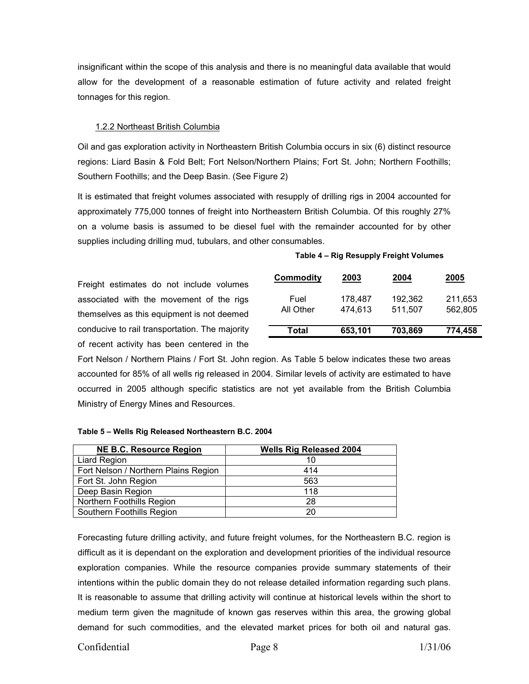<span id="page-7-0"></span>insignificant within the scope of this analysis and there is no meaningful data available that would allow for the development of a reasonable estimation of future activity and related freight tonnages for this region.

#### 1.2.2 Northeast British Columbia

Oil and gas exploration activity in Northeastern British Columbia occurs in six (6) distinct resource regions: Liard Basin & Fold Belt; Fort Nelson/Northern Plains; Fort St. John; Northern Foothills; Southern Foothills; and the Deep Basin. (See Figure 2)

It is estimated that freight volumes associated with resupply of drilling rigs in 2004 accounted for approximately 775,000 tonnes of freight into Northeastern British Columbia. Of this roughly 27% on a volume basis is assumed to be diesel fuel with the remainder accounted for by other supplies including drilling mud, tubulars, and other consumables.

#### **Table 4 – Rig Resupply Freight Volumes**

Freight estimates do not include volumes associated with the movement of the rigs themselves as this equipment is not deemed conducive to rail transportation. The majority of recent activity has been centered in the

| <b>Commodity</b>  | 2003               | 2004               | 2005               |
|-------------------|--------------------|--------------------|--------------------|
| Fuel<br>All Other | 178,487<br>474,613 | 192,362<br>511,507 | 211,653<br>562.805 |
| Total             | 653,101            | 703,869            | 774,458            |

Fort Nelson / Northern Plains / Fort St. John region. As Table 5 below indicates these two areas accounted for 85% of all wells rig released in 2004. Similar levels of activity are estimated to have occurred in 2005 although specific statistics are not yet available from the British Columbia Ministry of Energy Mines and Resources.

#### **Table 5 – Wells Rig Released Northeastern B.C. 2004**

| <b>NE B.C. Resource Region</b>       | <b>Wells Rig Released 2004</b> |
|--------------------------------------|--------------------------------|
| <b>Liard Region</b>                  | 10                             |
| Fort Nelson / Northern Plains Region | 414                            |
| Fort St. John Region                 | 563                            |
| Deep Basin Region                    | 118                            |
| Northern Foothills Region            | 28                             |
| Southern Foothills Region            | 20                             |

Forecasting future drilling activity, and future freight volumes, for the Northeastern B.C. region is difficult as it is dependant on the exploration and development priorities of the individual resource exploration companies. While the resource companies provide summary statements of their intentions within the public domain they do not release detailed information regarding such plans. It is reasonable to assume that drilling activity will continue at historical levels within the short to medium term given the magnitude of known gas reserves within this area, the growing global demand for such commodities, and the elevated market prices for both oil and natural gas.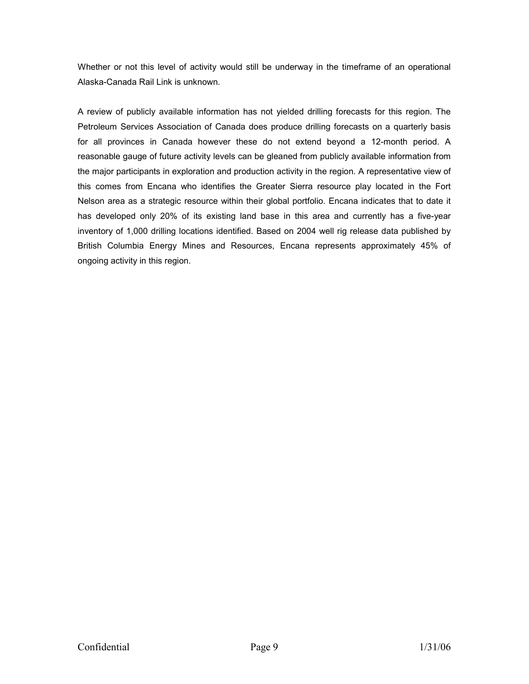Whether or not this level of activity would still be underway in the timeframe of an operational Alaska-Canada Rail Link is unknown.

A review of publicly available information has not yielded drilling forecasts for this region. The Petroleum Services Association of Canada does produce drilling forecasts on a quarterly basis for all provinces in Canada however these do not extend beyond a 12-month period. A reasonable gauge of future activity levels can be gleaned from publicly available information from the major participants in exploration and production activity in the region. A representative view of this comes from Encana who identifies the Greater Sierra resource play located in the Fort Nelson area as a strategic resource within their global portfolio. Encana indicates that to date it has developed only 20% of its existing land base in this area and currently has a five-year inventory of 1,000 drilling locations identified. Based on 2004 well rig release data published by British Columbia Energy Mines and Resources, Encana represents approximately 45% of ongoing activity in this region.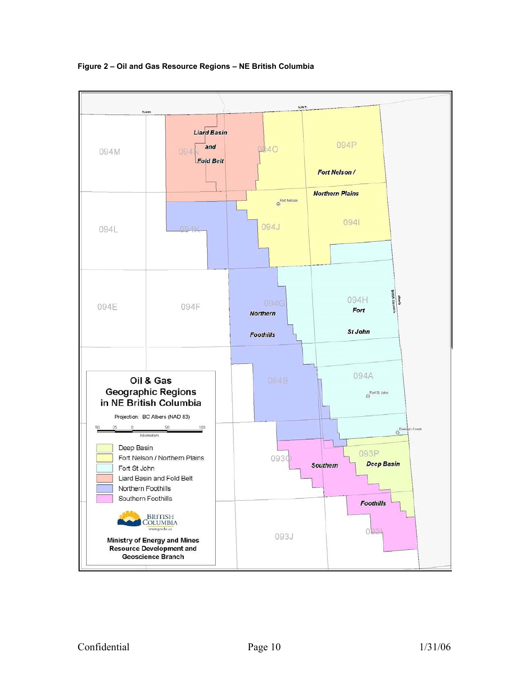

**Figure 2 – Oil and Gas Resource Regions – NE British Columbia**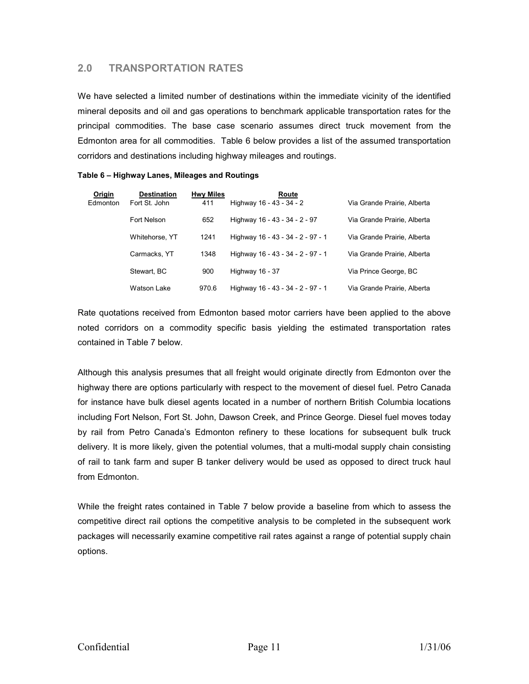# <span id="page-10-0"></span>**2.0 TRANSPORTATION RATES**

We have selected a limited number of destinations within the immediate vicinity of the identified mineral deposits and oil and gas operations to benchmark applicable transportation rates for the principal commodities. The base case scenario assumes direct truck movement from the Edmonton area for all commodities. Table 6 below provides a list of the assumed transportation corridors and destinations including highway mileages and routings.

| Origin   | <b>Destination</b> | <b>Hwy Miles</b> | Route                             |                             |
|----------|--------------------|------------------|-----------------------------------|-----------------------------|
| Edmonton | Fort St. John      | 411              | Highway 16 - 43 - 34 - 2          | Via Grande Prairie, Alberta |
|          | Fort Nelson        | 652              | Highway 16 - 43 - 34 - 2 - 97     | Via Grande Prairie, Alberta |
|          | Whitehorse, YT     | 1241             | Highway 16 - 43 - 34 - 2 - 97 - 1 | Via Grande Prairie, Alberta |
|          | Carmacks, YT       | 1348             | Highway 16 - 43 - 34 - 2 - 97 - 1 | Via Grande Prairie, Alberta |
|          | Stewart, BC        | 900              | Highway 16 - 37                   | Via Prince George, BC       |
|          | Watson Lake        | 970.6            | Highway 16 - 43 - 34 - 2 - 97 - 1 | Via Grande Prairie, Alberta |

**Table 6 – Highway Lanes, Mileages and Routings** 

Rate quotations received from Edmonton based motor carriers have been applied to the above noted corridors on a commodity specific basis yielding the estimated transportation rates contained in Table 7 below.

Although this analysis presumes that all freight would originate directly from Edmonton over the highway there are options particularly with respect to the movement of diesel fuel. Petro Canada for instance have bulk diesel agents located in a number of northern British Columbia locations including Fort Nelson, Fort St. John, Dawson Creek, and Prince George. Diesel fuel moves today by rail from Petro Canada's Edmonton refinery to these locations for subsequent bulk truck delivery. It is more likely, given the potential volumes, that a multi-modal supply chain consisting of rail to tank farm and super B tanker delivery would be used as opposed to direct truck haul from Edmonton.

While the freight rates contained in Table 7 below provide a baseline from which to assess the competitive direct rail options the competitive analysis to be completed in the subsequent work packages will necessarily examine competitive rail rates against a range of potential supply chain options.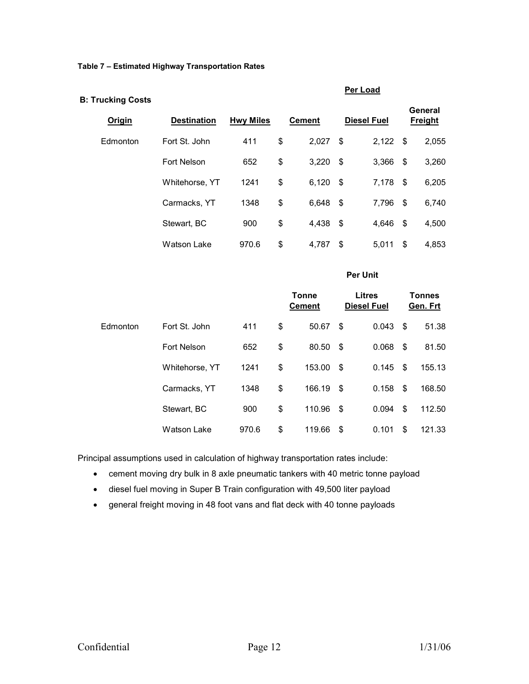**Table 7 – Estimated Highway Transportation Rates** 

| <b>B: Trucking Costs</b> |                    |                  |    |                               | Per Load                            |                    |                         |                           |
|--------------------------|--------------------|------------------|----|-------------------------------|-------------------------------------|--------------------|-------------------------|---------------------------|
| <b>Origin</b>            | <b>Destination</b> | <b>Hwy Miles</b> |    | <b>Cement</b>                 |                                     | <b>Diesel Fuel</b> |                         | General<br><b>Freight</b> |
| Edmonton                 | Fort St. John      | 411              | \$ | 2,027                         | \$                                  | 2,122              | $\sqrt{3}$              | 2,055                     |
|                          | Fort Nelson        | 652              | \$ | 3,220                         | $\boldsymbol{\mathsf{S}}$           | 3,366              | \$                      | 3,260                     |
|                          | Whitehorse, YT     | 1241             | \$ | 6,120                         | $\sqrt[6]{3}$                       | 7,178              | $\sqrt[6]{\frac{1}{2}}$ | 6,205                     |
|                          | Carmacks, YT       | 1348             | \$ | 6,648                         | \$                                  | 7,796              | \$                      | 6,740                     |
|                          | Stewart, BC        | 900              | \$ | 4,438                         | $\boldsymbol{\mathsf{S}}$           | 4,646              | \$                      | 4,500                     |
|                          | <b>Watson Lake</b> | 970.6            | \$ | 4,787                         | \$                                  | 5,011              | \$                      | 4,853                     |
|                          |                    | <b>Per Unit</b>  |    |                               |                                     |                    |                         |                           |
|                          |                    |                  |    | <b>Tonne</b><br><b>Cement</b> | <b>Litres</b><br><b>Diesel Fuel</b> |                    |                         | <b>Tonnes</b><br>Gen. Frt |
| Edmonton                 | Fort St. John      | 411              | \$ | 50.67                         | \$                                  | 0.043              | \$                      | 51.38                     |
|                          | <b>Fort Nelson</b> | 652              | \$ | 80.50                         | \$                                  | 0.068              | \$                      | 81.50                     |

Principal assumptions used in calculation of highway transportation rates include:

 $\bullet$ cement moving dry bulk in 8 axle pneumatic tankers with 40 metric tonne payload

Whitehorse, YT 1241 \$ 153.00 \$ 0.145 \$ 155.13

Carmacks, YT 1348 \$ 166.19 \$ 0.158 \$ 168.50

Stewart, BC 900 \$ 110.96 \$ 0.094 \$ 112.50

Watson Lake 970.6 \$ 119.66 \$ 0.101 \$ 121.33

- $\bullet$ diesel fuel moving in Super B Train configuration with 49,500 liter payload
- $\bullet$ general freight moving in 48 foot vans and flat deck with 40 tonne payloads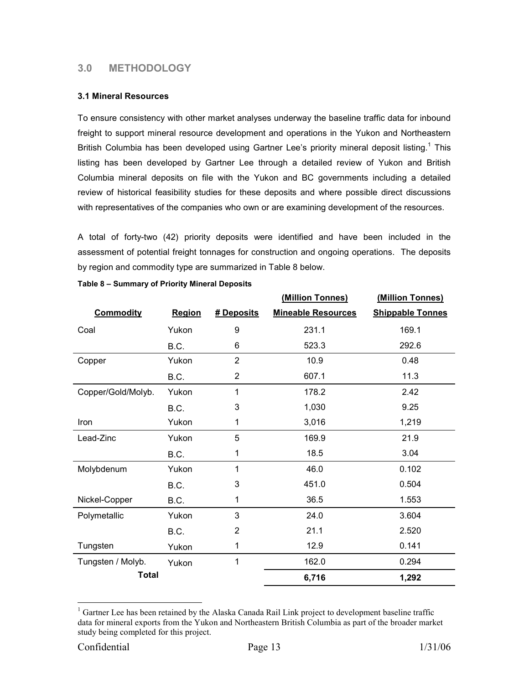# <span id="page-12-0"></span>**3.0 METHODOLOGY**

#### **3.1 Mineral Resources**

To ensure consistency with other market analyses underway the baseline traffic data for inbound freight to support mineral resource development and operations in the Yukon and Northeastern BritishColumbia has been developed using Gartner Lee's priority mineral deposit listing.<sup>1</sup> This listing has been developed by Gartner Lee through a detailed review of Yukon and British Columbia mineral deposits on file with the Yukon and BC governments including a detailed review of historical feasibility studies for these deposits and where possible direct discussions with representatives of the companies who own or are examining development of the resources.

A total of forty-two (42) priority deposits were identified and have been included in the assessment of potential freight tonnages for construction and ongoing operations. The deposits by region and commodity type are summarized in Table 8 below.

|                    |               |                | (Million Tonnes)          | (Million Tonnes)        |
|--------------------|---------------|----------------|---------------------------|-------------------------|
| <b>Commodity</b>   | <b>Region</b> | # Deposits     | <b>Mineable Resources</b> | <b>Shippable Tonnes</b> |
| Coal               | Yukon         | 9              | 231.1                     | 169.1                   |
|                    | B.C.          | 6              | 523.3                     | 292.6                   |
| Copper             | Yukon         | $\overline{2}$ | 10.9                      | 0.48                    |
|                    | B.C.          | $\overline{2}$ | 607.1                     | 11.3                    |
| Copper/Gold/Molyb. | Yukon         | 1              | 178.2                     | 2.42                    |
|                    | B.C.          | 3              | 1,030                     | 9.25                    |
| Iron               | Yukon         | 1              | 3,016                     | 1,219                   |
| Lead-Zinc          | Yukon         | 5              | 169.9                     | 21.9                    |
|                    | B.C.          | 1              | 18.5                      | 3.04                    |
| Molybdenum         | Yukon         | 1              | 46.0                      | 0.102                   |
|                    | B.C.          | 3              | 451.0                     | 0.504                   |
| Nickel-Copper      | B.C.          | 1              | 36.5                      | 1.553                   |
| Polymetallic       | Yukon         | 3              | 24.0                      | 3.604                   |
|                    | B.C.          | $\overline{2}$ | 21.1                      | 2.520                   |
| Tungsten           | Yukon         | 1              | 12.9                      | 0.141                   |
| Tungsten / Molyb.  | Yukon         | 1              | 162.0                     | 0.294                   |
| <b>Total</b>       |               |                | 6,716                     | 1,292                   |

|  | Table 8 - Summary of Priority Mineral Deposits |  |  |  |
|--|------------------------------------------------|--|--|--|
|  |                                                |  |  |  |

 $\overline{a}$ 

<span id="page-12-1"></span><sup>&</sup>lt;sup>1</sup> Gartner Lee has been retained by the Alaska Canada Rail Link project to development baseline traffic data for mineral exports from the Yukon and Northeastern British Columbia as part of the broader market study being completed for this project.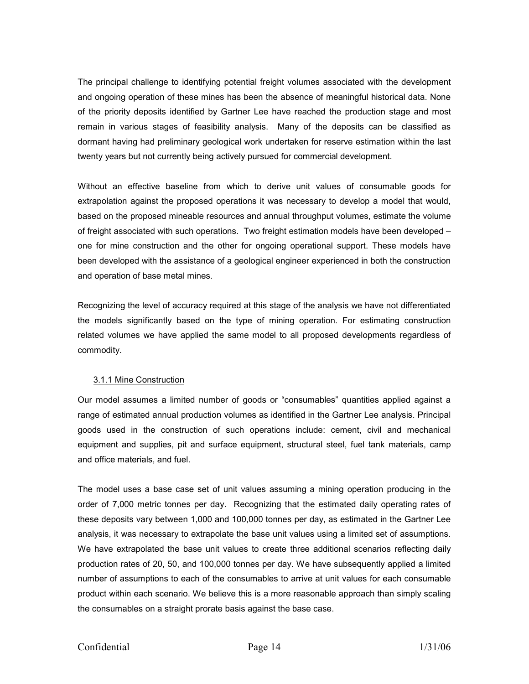<span id="page-13-0"></span>The principal challenge to identifying potential freight volumes associated with the development and ongoing operation of these mines has been the absence of meaningful historical data. None of the priority deposits identified by Gartner Lee have reached the production stage and most remain in various stages of feasibility analysis. Many of the deposits can be classified as dormant having had preliminary geological work undertaken for reserve estimation within the last twenty years but not currently being actively pursued for commercial development.

Without an effective baseline from which to derive unit values of consumable goods for extrapolation against the proposed operations it was necessary to develop a model that would, based on the proposed mineable resources and annual throughput volumes, estimate the volume of freight associated with such operations. Two freight estimation models have been developed – one for mine construction and the other for ongoing operational support. These models have been developed with the assistance of a geological engineer experienced in both the construction and operation of base metal mines.

Recognizing the level of accuracy required at this stage of the analysis we have not differentiated the models significantly based on the type of mining operation. For estimating construction related volumes we have applied the same model to all proposed developments regardless of commodity.

## 3.1.1 Mine Construction

Our model assumes a limited number of goods or "consumables" quantities applied against a range of estimated annual production volumes as identified in the Gartner Lee analysis. Principal goods used in the construction of such operations include: cement, civil and mechanical equipment and supplies, pit and surface equipment, structural steel, fuel tank materials, camp and office materials, and fuel.

The model uses a base case set of unit values assuming a mining operation producing in the order of 7,000 metric tonnes per day. Recognizing that the estimated daily operating rates of these deposits vary between 1,000 and 100,000 tonnes per day, as estimated in the Gartner Lee analysis, it was necessary to extrapolate the base unit values using a limited set of assumptions. We have extrapolated the base unit values to create three additional scenarios reflecting daily production rates of 20, 50, and 100,000 tonnes per day. We have subsequently applied a limited number of assumptions to each of the consumables to arrive at unit values for each consumable product within each scenario. We believe this is a more reasonable approach than simply scaling the consumables on a straight prorate basis against the base case.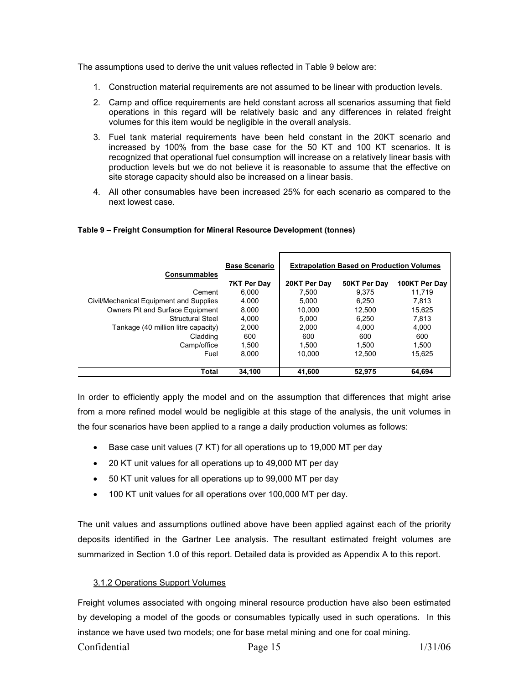<span id="page-14-0"></span>The assumptions used to derive the unit values reflected in Table 9 below are:

- 1. Construction material requirements are not assumed to be linear with production levels.
- 2. Camp and office requirements are held constant across all scenarios assuming that field operations in this regard will be relatively basic and any differences in related freight volumes for this item would be negligible in the overall analysis.
- 3. Fuel tank material requirements have been held constant in the 20KT scenario and increased by 100% from the base case for the 50 KT and 100 KT scenarios. It is recognized that operational fuel consumption will increase on a relatively linear basis with production levels but we do not believe it is reasonable to assume that the effective on site storage capacity should also be increased on a linear basis.
- 4. All other consumables have been increased 25% for each scenario as compared to the next lowest case.

| <b>Consummables</b>                     | <b>Base Scenario</b> | <b>Extrapolation Based on Production Volumes</b> |              |               |  |
|-----------------------------------------|----------------------|--------------------------------------------------|--------------|---------------|--|
|                                         | 7KT Per Day          | 20KT Per Day                                     | 50KT Per Day | 100KT Per Day |  |
| Cement                                  | 6.000                | 7.500                                            | 9.375        | 11.719        |  |
| Civil/Mechanical Equipment and Supplies | 4.000                | 5.000                                            | 6.250        | 7.813         |  |
| Owners Pit and Surface Equipment        | 8,000                | 10,000                                           | 12.500       | 15.625        |  |
| <b>Structural Steel</b>                 | 4.000                | 5.000                                            | 6.250        | 7.813         |  |
| Tankage (40 million litre capacity)     | 2.000                | 2.000                                            | 4.000        | 4.000         |  |
| Cladding                                | 600                  | 600                                              | 600          | 600           |  |
| Camp/office                             | 1.500                | 1.500                                            | 1.500        | 1.500         |  |
| Fuel                                    | 8.000                | 10.000                                           | 12.500       | 15.625        |  |
|                                         |                      |                                                  |              |               |  |
| Total                                   | 34.100               | 41,600                                           | 52.975       | 64.694        |  |

#### **Table 9 – Freight Consumption for Mineral Resource Development (tonnes)**

In order to efficiently apply the model and on the assumption that differences that might arise from a more refined model would be negligible at this stage of the analysis, the unit volumes in the four scenarios have been applied to a range a daily production volumes as follows:

- Base case unit values (7 KT) for all operations up to 19,000 MT per day
- 20 KT unit values for all operations up to 49,000 MT per day
- 50 KT unit values for all operations up to 99,000 MT per day
- $\bullet$ 100 KT unit values for all operations over 100,000 MT per day.

The unit values and assumptions outlined above have been applied against each of the priority deposits identified in the Gartner Lee analysis. The resultant estimated freight volumes are summarized in Section 1.0 of this report. Detailed data is provided as Appendix A to this report.

## 3.1.2 Operations Support Volumes

Freight volumes associated with ongoing mineral resource production have also been estimated by developing a model of the goods or consumables typically used in such operations. In this instance we have used two models; one for base metal mining and one for coal mining. Confidential Page 15 1/31/06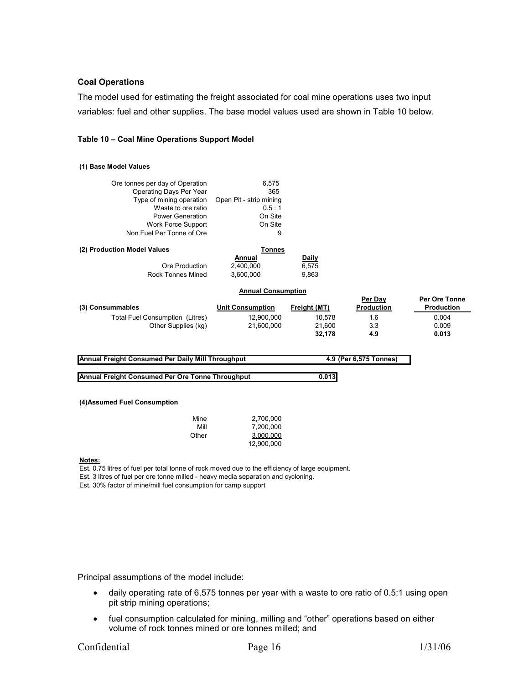#### **Coal Operations**

variables: fuel and other supplies. The base model values used are shown in Table 10 below. The model used for estimating the freight associated for coal mine operations uses two input

#### **Table 10 – Coal Mine Operations Support Model**

#### **(1) Base Model Values**

| Ore tonnes per day of Operation<br>Operating Days Per Year<br>Type of mining operation<br>Waste to ore ratio<br><b>Power Generation</b><br>Work Force Support<br>Non Fuel Per Tonne of Ore | 6,575<br>365<br>Open Pit - strip mining<br>0.5:1<br>On Site<br>On Site<br>9 |                       |                              |                                           |
|--------------------------------------------------------------------------------------------------------------------------------------------------------------------------------------------|-----------------------------------------------------------------------------|-----------------------|------------------------------|-------------------------------------------|
| (2) Production Model Values                                                                                                                                                                | Tonnes                                                                      |                       |                              |                                           |
| Ore Production                                                                                                                                                                             | Annual<br>2,400,000                                                         | <b>Daily</b><br>6,575 |                              |                                           |
| Rock Tonnes Mined                                                                                                                                                                          | 3.600.000                                                                   | 9,863                 |                              |                                           |
|                                                                                                                                                                                            | <b>Annual Consumption</b>                                                   |                       |                              |                                           |
| (3) Consummables                                                                                                                                                                           | <b>Unit Consumption</b>                                                     | Freight (MT)          | Per Day<br><b>Production</b> | <b>Per Ore Tonne</b><br><b>Production</b> |
| Total Fuel Consumption (Litres)                                                                                                                                                            | 12,900,000                                                                  | 10,578                | 1.6                          | 0.004                                     |
| Other Supplies (kg)                                                                                                                                                                        | 21,600,000                                                                  | 21,600                | 3.3                          | 0.009                                     |
|                                                                                                                                                                                            |                                                                             | 32,178                | 4.9                          | 0.013                                     |

**Annual Freight Consumed Per Daily Mill Throughput 4.9 (Per 6,575 Tonnes)**

**Annual Freight Consumed Per Ore Tonne Throughput 0.013**

#### **(4)Assumed Fuel Consumption**

| Mine  | 2.700.000  |
|-------|------------|
| Mill  | 7.200.000  |
| Other | 3.000.000  |
|       | 12,900,000 |

#### **Notes:**

Est. 0.75 litres of fuel per total tonne of rock moved due to the efficiency of large equipment.

Est. 3 litres of fuel per ore tonne milled - heavy media separation and cycloning.

Est. 30% factor of mine/mill fuel consumption for camp support

Principal assumptions of the model include:

- daily operating rate of 6,575 tonnes per year with a waste to ore ratio of 0.5:1 using open pit strip mining operations;
- $\bullet$  fuel consumption calculated for mining, milling and "other" operations based on either volume of rock tonnes mined or ore tonnes milled; and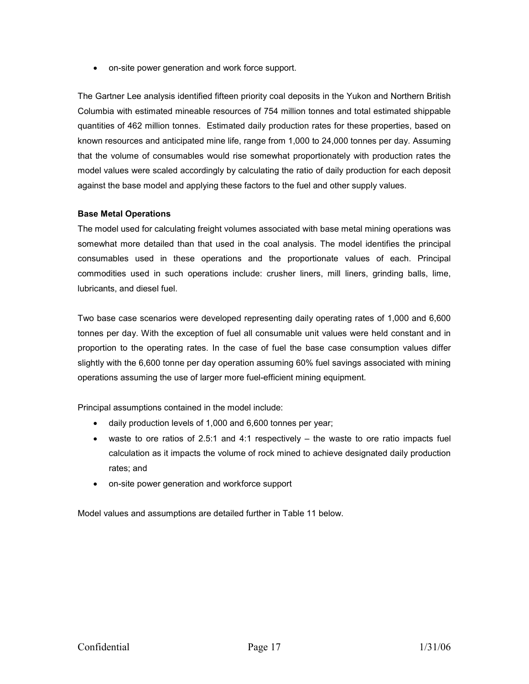- on-site power generation and work force support.

The Gartner Lee analysis identified fifteen priority coal deposits in the Yukon and Northern British Columbia with estimated mineable resources of 754 million tonnes and total estimated shippable quantities of 462 million tonnes. Estimated daily production rates for these properties, based on known resources and anticipated mine life, range from 1,000 to 24,000 tonnes per day. Assuming that the volume of consumables would rise somewhat proportionately with production rates the model values were scaled accordingly by calculating the ratio of daily production for each deposit against the base model and applying these factors to the fuel and other supply values.

#### **Base Metal Operations**

The model used for calculating freight volumes associated with base metal mining operations was somewhat more detailed than that used in the coal analysis. The model identifies the principal consumables used in these operations and the proportionate values of each. Principal commodities used in such operations include: crusher liners, mill liners, grinding balls, lime, lubricants, and diesel fuel.

Two base case scenarios were developed representing daily operating rates of 1,000 and 6,600 tonnes per day. With the exception of fuel all consumable unit values were held constant and in proportion to the operating rates. In the case of fuel the base case consumption values differ slightly with the 6,600 tonne per day operation assuming 60% fuel savings associated with mining operations assuming the use of larger more fuel-efficient mining equipment.

Principal assumptions contained in the model include:

- daily production levels of 1,000 and 6,600 tonnes per year;
- $\bullet$  waste to ore ratios of 2.5:1 and 4:1 respectively the waste to ore ratio impacts fuel calculation as it impacts the volume of rock mined to achieve designated daily production rates; and
- on-site power generation and workforce support

Model v alues and assumptions are detailed further in Table 11 below.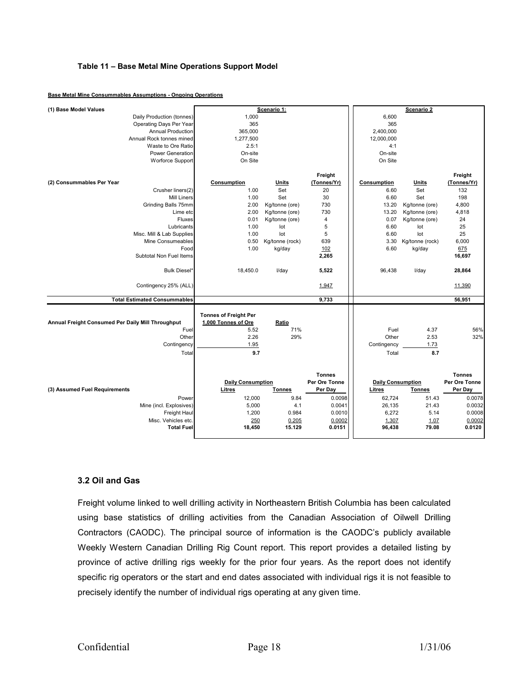#### <span id="page-17-0"></span>**Table 11 – Base Metal Mine Operations Support Model**

| (1) Base Model Values                             |                              | Scenario 1:     |               |                          | Scenario 2      |               |
|---------------------------------------------------|------------------------------|-----------------|---------------|--------------------------|-----------------|---------------|
| Daily Production (tonnes)                         | 1,000                        |                 |               | 6,600                    |                 |               |
| Operating Days Per Year                           | 365                          |                 |               | 365                      |                 |               |
| <b>Annual Production</b>                          | 365,000                      |                 |               | 2,400,000                |                 |               |
| Annual Rock tonnes mined                          | 1,277,500                    |                 |               | 12,000,000               |                 |               |
| Waste to Ore Ratio                                | 2.5:1                        |                 |               | 4:1                      |                 |               |
| <b>Power Generation</b>                           | On-site                      |                 |               | On-site                  |                 |               |
| Worforce Support                                  | On Site                      |                 |               | On Site                  |                 |               |
|                                                   |                              |                 |               |                          |                 |               |
|                                                   |                              |                 | Freight       |                          |                 | Freight       |
| (2) Consummables Per Year                         | Consumption                  | Units           | (Tonnes/Yr)   | Consumption              | Units           | (Tonnes/Yr)   |
| Crusher liners(2)                                 | 1.00                         | Set             | 20            | 6.60                     | Set             | 132           |
| <b>Mill Liners</b>                                | 1.00                         | Set             | 30            | 6.60                     | Set             | 198           |
| Grinding Balls 75mm                               | 2.00                         | Kg/tonne (ore)  | 730           | 13.20                    | Kg/tonne (ore)  | 4,800         |
| Lime etc                                          | 2.00                         | Kg/tonne (ore)  | 730           | 13.20                    | Kg/tonne (ore)  | 4,818         |
| Fluxes                                            | 0.01                         | Kg/tonne (ore)  | 4             | 0.07                     | Kg/tonne (ore)  | 24            |
| Lubricants                                        | 1.00                         | lot             | 5             | 6.60                     | lot             | 25            |
| Misc. Mill & Lab Supplies                         | 1.00                         | lot             | 5             | 6.60                     | lot             | 25            |
| Mine Consumeables                                 | 0.50                         | Kg/tonne (rock) | 639           | 3.30                     | Kg/tonne (rock) | 6,000         |
| Food                                              | 1.00                         | kg/day          | 102           | 6.60                     | kg/day          | 675           |
| Subtotal Non Fuel Items                           |                              |                 | 2,265         |                          |                 | 16,697        |
|                                                   |                              |                 |               |                          |                 |               |
| Bulk Diesel*                                      | 18,450.0                     | I/day           | 5,522         | 96.438                   | I/day           | 28,864        |
| Contingency 25% (ALL)                             |                              |                 | 1,947         |                          |                 | 11,390        |
|                                                   |                              |                 |               |                          |                 |               |
| <b>Total Estimated Consummables</b>               |                              |                 | 9,733         |                          |                 | 56,951        |
|                                                   |                              |                 |               |                          |                 |               |
|                                                   | <b>Tonnes of Freight Per</b> |                 |               |                          |                 |               |
| Annual Freight Consumed Per Daily Mill Throughput | 1,000 Tonnes of Ore          | Ratio           |               |                          |                 |               |
| Fuel                                              | 5.52                         | 71%             |               | Fuel                     | 4.37            | 56%           |
| Other                                             | 2.26                         | 29%             |               | Other                    | 2.53            | 32%           |
| Contingency                                       | 1.95                         |                 |               | Contingency              | 1.73            |               |
| Total                                             | 9.7                          |                 |               | Total                    | 8.7             |               |
|                                                   |                              |                 |               |                          |                 |               |
|                                                   |                              |                 | <b>Tonnes</b> |                          |                 | <b>Tonnes</b> |
|                                                   | <b>Daily Consumption</b>     |                 | Per Ore Tonne | <b>Daily Consumption</b> |                 | Per Ore Tonne |
| (3) Assumed Fuel Requirements                     | Litres                       | <b>Tonnes</b>   | Per Day       | <b>Litres</b>            | <b>Tonnes</b>   | Per Day       |
| Power                                             | 12,000                       | 9.84            | 0.0098        | 62,724                   | 51.43           | 0.0078        |
| Mine (incl. Explosives)                           | 5,000                        | 4.1             | 0.0041        | 26,135                   | 21.43           | 0.0032        |
| Freight Haul                                      | 1,200                        | 0.984           | 0.0010        | 6,272                    | 5.14            | 0.0008        |
| Misc. Vehicles etc.                               | 250                          | 0.205           | 0.0002        | 1,307                    | 1.07            | 0.0002        |
| <b>Total Fuel</b>                                 | 18,450                       | 15.129          | 0.0151        | 96,438                   | 79.08           | 0.0120        |
|                                                   |                              |                 |               |                          |                 |               |

#### **Base Metal Mine Consummables Assumptions - Ongoing Operations**

#### **.2 Oil and Gas 3**

Freight volume linked to well drilling activity in Northeastern British Columbia has been calculated using base statistics of drilling activities from the Canadian Association of Oilwell Drilling Contractors (CAODC). The principal source of information is the CAODC's publicly available Weekly Western Canadian Drilling Rig Count report. This report provides a detailed listing by province of active drilling rigs weekly for the prior four years. As the report does not identify specific rig operators or the start and end dates associated with individual rigs it is not feasible to precisely identify the number of individual rigs operating at any given time.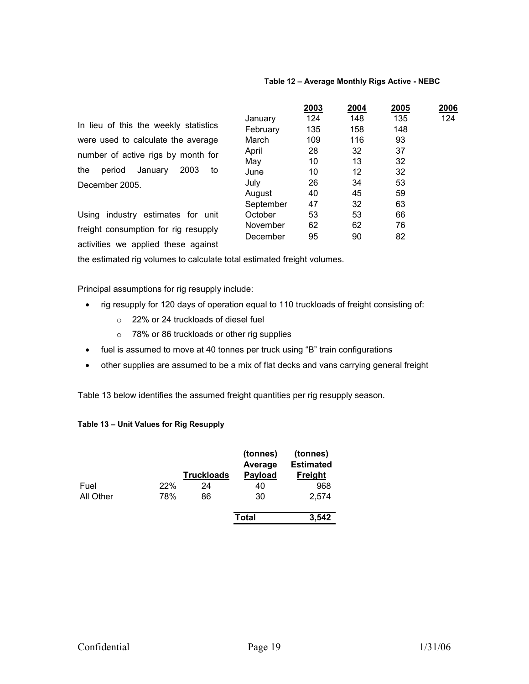#### **Table 12 – Average Monthly Rigs Active - NEBC**

In lieu of this the weekly statistics were used to calculate the average number of active rigs by month for the period January 2003 to December 2005.

Using industry estimates for unit freight consumption for rig resupply activities we applied these against

|           | 2003 | 2004 | 2005 | 2006 |
|-----------|------|------|------|------|
| January   | 124  | 148  | 135  | 124  |
| February  | 135  | 158  | 148  |      |
| March     | 109  | 116  | 93   |      |
| April     | 28   | 32   | 37   |      |
| May       | 10   | 13   | 32   |      |
| June      | 10   | 12   | 32   |      |
| July      | 26   | 34   | 53   |      |
| August    | 40   | 45   | 59   |      |
| September | 47   | 32   | 63   |      |
| October   | 53   | 53   | 66   |      |
| November  | 62   | 62   | 76   |      |
| December  | 95   | 90   | 82   |      |
|           |      |      |      |      |

the estimated rig volumes to calculate total estimated freight volumes.

Principal assumptions for rig resupply include:

- rig resupply for 120 days of operation equal to 110 truckloads of freight consisting of:
	- o 22% or 24 truckloads of diesel fuel
	- $\circ$  78% or 86 truckloads or other rig supplies
- fuel is assumed to move at 40 tonnes per truck using "B" train configurations
- other supplies are assumed to be a mix of flat decks and vans carrying general freight -

Table 13 below identifies the assumed freight quantities per rig resupply season.

#### **able 13 – Unit Values for Rig Resupply T**

|           |     | <b>Truckloads</b> | (tonnes)<br>Average<br><b>Payload</b> | (tonnes)<br><b>Estimated</b><br><b>Freight</b> |
|-----------|-----|-------------------|---------------------------------------|------------------------------------------------|
| Fuel      | 22% | 24                | 40                                    | 968                                            |
| All Other | 78% | 86                | 30                                    | 2,574                                          |
|           |     |                   | Total                                 | 3,542                                          |